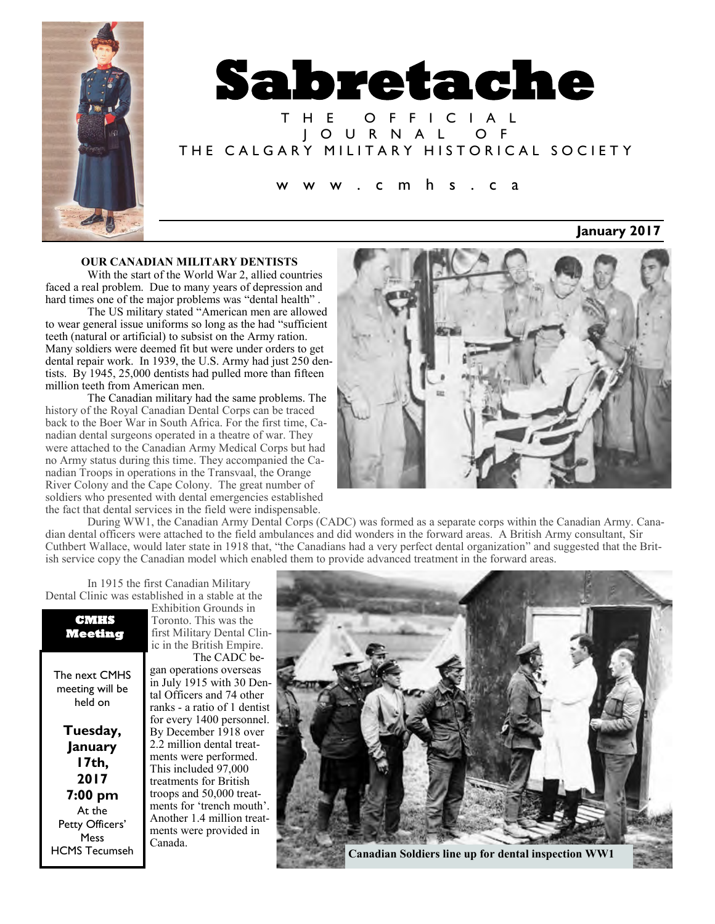



T H E O F F I C I A L J O U R N A L O F THE CALGARY MILITARY HISTORICAL SOCIETY

#### c m h s . c a

### **January 2017**

#### **OUR CANADIAN MILITARY DENTISTS**

With the start of the World War 2, allied countries faced a real problem. Due to many years of depression and hard times one of the major problems was "dental health" .

The US military stated "American men are allowed to wear general issue uniforms so long as the had "sufficient teeth (natural or artificial) to subsist on the Army ration. Many soldiers were deemed fit but were under orders to get dental repair work. In 1939, the U.S. Army had just 250 dentists. By 1945, 25,000 dentists had pulled more than fifteen million teeth from American men.

The Canadian military had the same problems. The history of the Royal Canadian Dental Corps can be traced back to the Boer War in South Africa. For the first time, Canadian dental surgeons operated in a theatre of war. They were attached to the Canadian Army Medical Corps but had no Army status during this time. They accompanied the Canadian Troops in operations in the Transvaal, the Orange River Colony and the Cape Colony. The great number of soldiers who presented with dental emergencies established the fact that dental services in the field were indispensable.



During WW1, the Canadian Army Dental Corps (CADC) was formed as a separate corps within the Canadian Army. Canadian dental officers were attached to the field ambulances and did wonders in the forward areas. A British Army consultant, Sir Cuthbert Wallace, would later state in 1918 that, "the Canadians had a very perfect dental organization" and suggested that the British service copy the Canadian model which enabled them to provide advanced treatment in the forward areas.

In 1915 the first Canadian Military Dental Clinic was established in a stable at the Exhibition Grounds in

The next CMHS meeting will be held on

**Tuesday, January 17th, 2017 7:00 pm** At the Petty Officers' Mess HCMS Tecumseh

first Military Dental Clinic in the British Empire. The CADC began operations overseas in July 1915 with 30 Dental Officers and 74 other ranks - a ratio of 1 dentist for every 1400 personnel. By December 1918 over 2.2 million dental treatments were performed. This included 97,000 treatments for British troops and 50,000 treatments for 'trench mouth'. Another 1.4 million treatments were provided in Canada.

Toronto. This was the

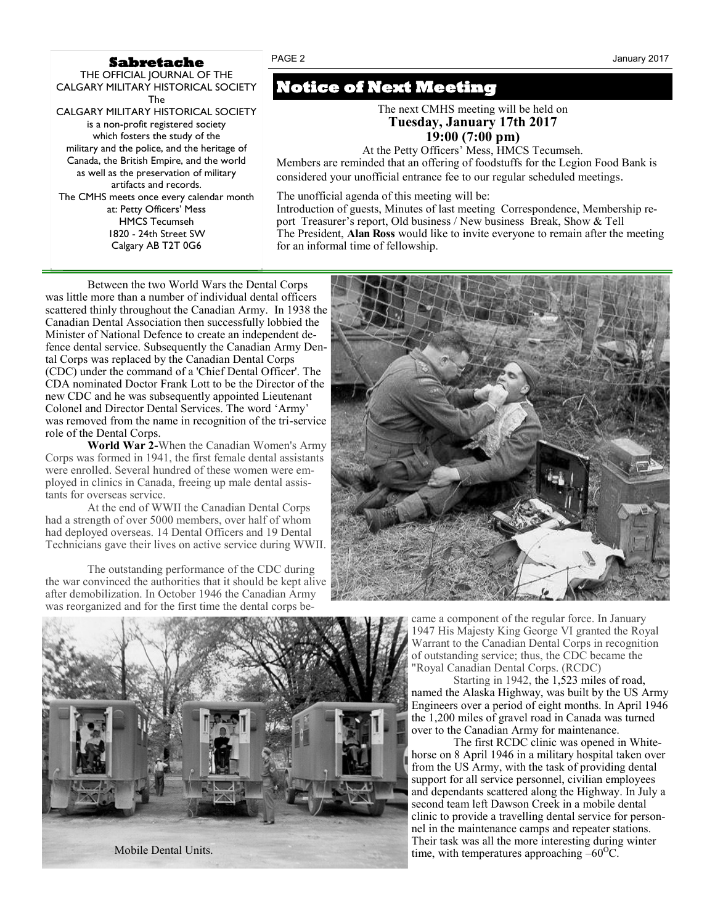#### **Sabretache**

THE OFFICIAL JOURNAL OF THE CALGARY MILITARY HISTORICAL SOCIETY The CALGARY MILITARY HISTORICAL SOCIETY is a non-profit registered society which fosters the study of the military and the police, and the heritage of Canada, the British Empire, and the world as well as the preservation of military artifacts and records. The CMHS meets once every calendar month at: Petty Officers' Mess HMCS Tecumseh 1820 - 24th Street SW Calgary AB T2T 0G6

**Notice of Next Meeting** 

The next CMHS meeting will be held on **Tuesday, January 17th 2017 19:00 (7:00 pm)**

At the Petty Officers' Mess, HMCS Tecumseh. Members are reminded that an offering of foodstuffs for the Legion Food Bank is considered your unofficial entrance fee to our regular scheduled meetings*.*

The unofficial agenda of this meeting will be:

Introduction of guests, Minutes of last meeting Correspondence, Membership report Treasurer's report, Old business / New business Break, Show & Tell The President, **Alan Ross** would like to invite everyone to remain after the meeting for an informal time of fellowship.

Between the two World Wars the Dental Corps was little more than a number of individual dental officers scattered thinly throughout the Canadian Army. In 1938 the Canadian Dental Association then successfully lobbied the Minister of National Defence to create an independent defence dental service. Subsequently the Canadian Army Dental Corps was replaced by the Canadian Dental Corps (CDC) under the command of a 'Chief Dental Officer'. The CDA nominated Doctor Frank Lott to be the Director of the new CDC and he was subsequently appointed Lieutenant Colonel and Director Dental Services. The word 'Army' was removed from the name in recognition of the tri-service role of the Dental Corps.

**World War 2-**When the Canadian Women's Army Corps was formed in 1941, the first female dental assistants were enrolled. Several hundred of these women were employed in clinics in Canada, freeing up male dental assistants for overseas service.

At the end of WWII the Canadian Dental Corps had a strength of over 5000 members, over half of whom had deployed overseas. 14 Dental Officers and 19 Dental Technicians gave their lives on active service during WWII.

The outstanding performance of the CDC during the war convinced the authorities that it should be kept alive after demobilization. In October 1946 the Canadian Army was reorganized and for the first time the dental corps became a component of the regular force. In January 1947 His Majesty King George VI granted the Royal

Warrant to the Canadian Dental Corps in recognition of outstanding service; thus, the CDC became the "Royal Canadian Dental Corps. (RCDC)

Starting in 1942, the 1,523 miles of road, named the Alaska Highway, was built by the US Army Engineers over a period of eight months. In April 1946 the 1,200 miles of gravel road in Canada was turned over to the Canadian Army for maintenance.

The first RCDC clinic was opened in Whitehorse on 8 April 1946 in a military hospital taken over from the US Army, with the task of providing dental support for all service personnel, civilian employees and dependants scattered along the Highway. In July a second team left Dawson Creek in a mobile dental clinic to provide a travelling dental service for personnel in the maintenance camps and repeater stations. Their task was all the more interesting during winter



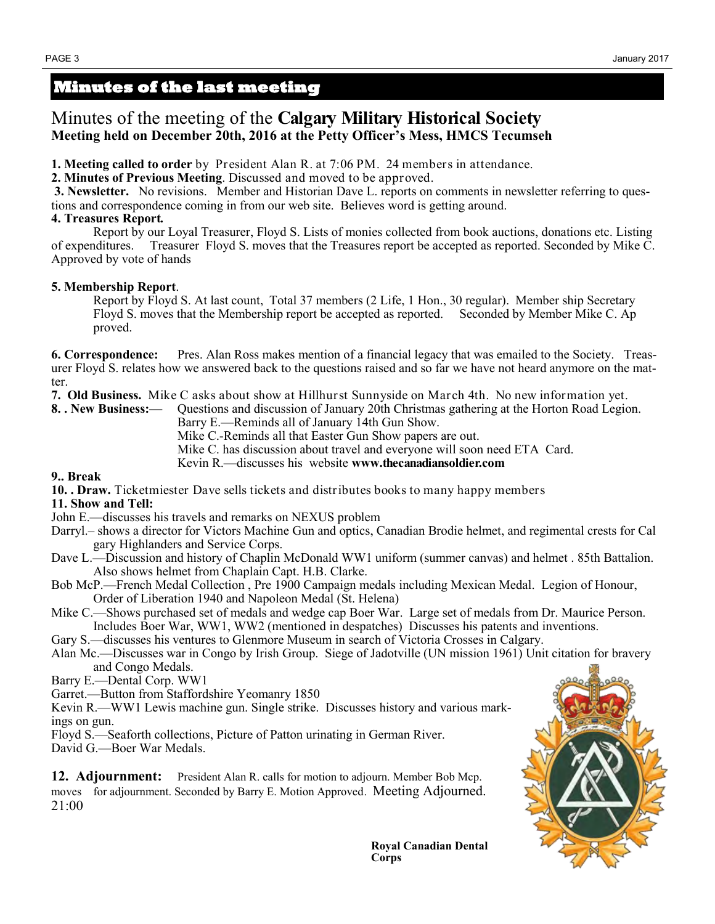# **Minutes of the last meeting**

# Minutes of the meeting of the **Calgary Military Historical Society Meeting held on December 20th, 2016 at the Petty Officer's Mess, HMCS Tecumseh**

**1. Meeting called to order** by President Alan R. at 7:06 PM. 24 members in attendance.

**2. Minutes of Previous Meeting**. Discussed and moved to be approved.

**3. Newsletter.** No revisions. Member and Historian Dave L. reports on comments in newsletter referring to questions and correspondence coming in from our web site. Believes word is getting around.

## **4. Treasures Report***.*

 Report by our Loyal Treasurer, Floyd S. Lists of monies collected from book auctions, donations etc. Listing of expenditures. Treasurer Floyd S. moves that the Treasures report be accepted as reported. Seconded by Mike C. Approved by vote of hands

## **5. Membership Report**.

Report by Floyd S. At last count, Total 37 members (2 Life, 1 Hon., 30 regular). Member ship Secretary Floyd S. moves that the Membership report be accepted as reported. Seconded by Member Mike C. Ap proved.

**6. Correspondence:** Pres. Alan Ross makes mention of a financial legacy that was emailed to the Society. Treasurer Floyd S. relates how we answered back to the questions raised and so far we have not heard anymore on the matter.

**7. Old Business.** Mike C asks about show at Hillhurst Sunnyside on March 4th. No new information yet.

**8. . New Business:—** Questions and discussion of January 20th Christmas gathering at the Horton Road Legion.

Barry E.—Reminds all of January 14th Gun Show.

Mike C.-Reminds all that Easter Gun Show papers are out.

Mike C. has discussion about travel and everyone will soon need ETA Card.

Kevin R.—discusses his website **www.thecanadiansoldier.com** 

### **9.. Break**

**10. . Draw.** Ticketmiester Dave sells tickets and distributes books to many happy members

### **11. Show and Tell:**

- John E.—discusses his travels and remarks on NEXUS problem
- Darryl.– shows a director for Victors Machine Gun and optics, Canadian Brodie helmet, and regimental crests for Cal gary Highlanders and Service Corps.
- Dave L.—Discussion and history of Chaplin McDonald WW1 uniform (summer canvas) and helmet . 85th Battalion. Also shows helmet from Chaplain Capt. H.B. Clarke.
- Bob McP.—French Medal Collection , Pre 1900 Campaign medals including Mexican Medal. Legion of Honour, Order of Liberation 1940 and Napoleon Medal (St. Helena)
- Mike C.—Shows purchased set of medals and wedge cap Boer War. Large set of medals from Dr. Maurice Person. Includes Boer War, WW1, WW2 (mentioned in despatches) Discusses his patents and inventions.

Gary S.—discusses his ventures to Glenmore Museum in search of Victoria Crosses in Calgary.

Alan Mc.—Discusses war in Congo by Irish Group. Siege of Jadotville (UN mission 1961) Unit citation for bravery and Congo Medals.

Barry E.—Dental Corp. WW1

Garret.—Button from Staffordshire Yeomanry 1850

Kevin R.—WW1 Lewis machine gun. Single strike. Discusses history and various mark-

ings on gun.

Floyd S.—Seaforth collections, Picture of Patton urinating in German River.

David G.—Boer War Medals.

**12. Adjournment:** President Alan R. calls for motion to adjourn. Member Bob Mcp. moves for adjournment. Seconded by Barry E. Motion Approved. Meeting Adjourned. 21:00



**Royal Canadian Dental Corps**